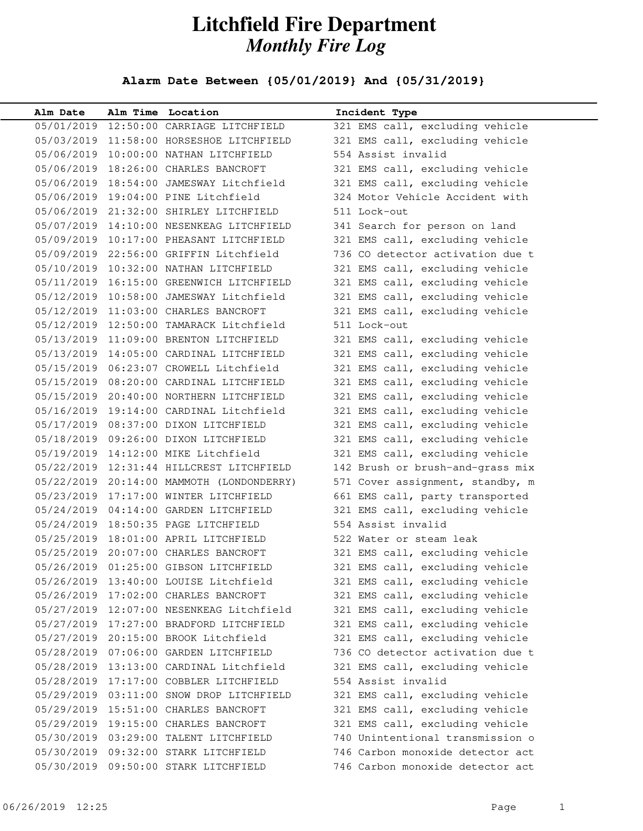## **Litchfield Fire Department** *Monthly Fire Log*

## **Alarm Date Between {05/01/2019} And {05/31/2019}**

| Alm Date   | Alm Time Location                            | Incident Type                    |
|------------|----------------------------------------------|----------------------------------|
|            | 05/01/2019 12:50:00 CARRIAGE LITCHFIELD      | 321 EMS call, excluding vehicle  |
|            | 05/03/2019 11:58:00 HORSESHOE LITCHFIELD     | 321 EMS call, excluding vehicle  |
|            | 05/06/2019 10:00:00 NATHAN LITCHFIELD        | 554 Assist invalid               |
|            | 05/06/2019 18:26:00 CHARLES BANCROFT         | 321 EMS call, excluding vehicle  |
|            | 05/06/2019 18:54:00 JAMESWAY Litchfield      | 321 EMS call, excluding vehicle  |
|            | 05/06/2019 19:04:00 PINE Litchfield          | 324 Motor Vehicle Accident with  |
|            | 05/06/2019 21:32:00 SHIRLEY LITCHFIELD       | 511 Lock-out                     |
|            | 05/07/2019 14:10:00 NESENKEAG LITCHFIELD     | 341 Search for person on land    |
|            | 05/09/2019 10:17:00 PHEASANT LITCHFIELD      | 321 EMS call, excluding vehicle  |
|            | 05/09/2019 22:56:00 GRIFFIN Litchfield       | 736 CO detector activation due t |
|            | 05/10/2019 10:32:00 NATHAN LITCHFIELD        | 321 EMS call, excluding vehicle  |
|            | 05/11/2019 16:15:00 GREENWICH LITCHFIELD     | 321 EMS call, excluding vehicle  |
|            | 05/12/2019 10:58:00 JAMESWAY Litchfield      | 321 EMS call, excluding vehicle  |
|            | 05/12/2019 11:03:00 CHARLES BANCROFT         | 321 EMS call, excluding vehicle  |
|            | 05/12/2019 12:50:00 TAMARACK Litchfield      | 511 Lock-out                     |
|            | 05/13/2019 11:09:00 BRENTON LITCHFIELD       | 321 EMS call, excluding vehicle  |
|            | 05/13/2019 14:05:00 CARDINAL LITCHFIELD      | 321 EMS call, excluding vehicle  |
|            | 05/15/2019  06:23:07 CROWELL Litchfield      | 321 EMS call, excluding vehicle  |
|            | 05/15/2019 08:20:00 CARDINAL LITCHFIELD      | 321 EMS call, excluding vehicle  |
|            | 05/15/2019 20:40:00 NORTHERN LITCHFIELD      | 321 EMS call, excluding vehicle  |
|            | 05/16/2019 19:14:00 CARDINAL Litchfield      | 321 EMS call, excluding vehicle  |
|            | 05/17/2019 08:37:00 DIXON LITCHFIELD         | 321 EMS call, excluding vehicle  |
|            | 05/18/2019 09:26:00 DIXON LITCHFIELD         | 321 EMS call, excluding vehicle  |
|            | 05/19/2019 14:12:00 MIKE Litchfield          | 321 EMS call, excluding vehicle  |
|            | 05/22/2019 12:31:44 HILLCREST LITCHFIELD     | 142 Brush or brush-and-grass mix |
|            | 05/22/2019 20:14:00 MAMMOTH (LONDONDERRY)    | 571 Cover assignment, standby, m |
|            | 05/23/2019 17:17:00 WINTER LITCHFIELD        | 661 EMS call, party transported  |
|            | 05/24/2019  04:14:00  GARDEN LITCHFIELD      | 321 EMS call, excluding vehicle  |
|            | 05/24/2019 18:50:35 PAGE LITCHFIELD          | 554 Assist invalid               |
|            | 05/25/2019 18:01:00 APRIL LITCHFIELD         | 522 Water or steam leak          |
|            | 05/25/2019 20:07:00 CHARLES BANCROFT         | 321 EMS call, excluding vehicle  |
|            | 05/26/2019 01:25:00 GIBSON LITCHFIELD        | 321 EMS call, excluding vehicle  |
|            | 05/26/2019 13:40:00 LOUISE Litchfield        | 321 EMS call, excluding vehicle  |
|            | 05/26/2019 17:02:00 CHARLES BANCROFT         | 321 EMS call, excluding vehicle  |
|            | 05/27/2019 12:07:00 NESENKEAG Litchfield     | 321 EMS call, excluding vehicle  |
|            | 05/27/2019 17:27:00 BRADFORD LITCHFIELD      | 321 EMS call, excluding vehicle  |
|            | 05/27/2019 20:15:00 BROOK Litchfield         | 321 EMS call, excluding vehicle  |
| 05/28/2019 | 07:06:00 GARDEN LITCHFIELD                   | 736 CO detector activation due t |
| 05/28/2019 | 13:13:00 CARDINAL Litchfield                 | 321 EMS call, excluding vehicle  |
| 05/28/2019 | 17:17:00 COBBLER LITCHFIELD                  | 554 Assist invalid               |
|            | 05/29/2019  03:11:00  SNOW  DROP  LITCHFIELD | 321 EMS call, excluding vehicle  |
|            | 05/29/2019 15:51:00 CHARLES BANCROFT         | 321 EMS call, excluding vehicle  |
| 05/29/2019 | 19:15:00 CHARLES BANCROFT                    | 321 EMS call, excluding vehicle  |
|            | 05/30/2019 03:29:00 TALENT LITCHFIELD        | 740 Unintentional transmission o |
| 05/30/2019 | 09:32:00 STARK LITCHFIELD                    | 746 Carbon monoxide detector act |
| 05/30/2019 | 09:50:00 STARK LITCHFIELD                    | 746 Carbon monoxide detector act |